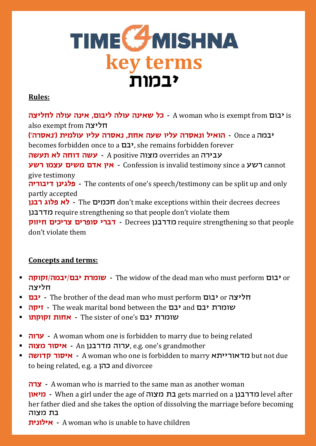## **TIME GMISHNA**<br>key terms **יבמות**

#### **Rules:**

 is יבום from exempt is who woman A **- כל שאינה עולה ליבום, אינה עולה לחליצה** also exempt from חליצה יבמה a Once **- הואיל ונאסרה עליו שעה אחת, נאסרה עליו עולמית )'נאסרה'(** becomes forbidden once to a יבם, she remains forbidden forever עבירה an overrides מצוה positive A **- עשה דוחה לא תעשה רשע עצמו משים אדם אין -** Confession is invalid testimony since a רשע cannot give testimony **דיבוריה פלגינן -** The contents of one's speech/testimony can be split up and only partly accepted **רבנן פלוג לא -** The חכמים don't make exceptions within their decrees decrees מדרבנן require strengthening so that people don't violate them **חיזוק צריכים סופרים דברי -** Decrees מדרבנן require strengthening so that people don't violate them

### **Concepts and terms:**

- **זקוקה/יבמה/יבם שומרת -** The widow of the dead man who must perform יבום or חליצה
- **יבם -** The brother of the dead man who must perform יבום or חליצה
- **זיקה -** The weak marital bond between the יבם and יבם שומרת
- **זקוקתו אחות -** The sister of one's יבם שומרת
- **4 - W** A woman whom one is forbidden to marry due to being related
- **מצוה איסור -** An מדרבנן ערוה, e.g. one's grandmother
- **קדושה איסור -** A woman who one is forbidden to marry מדאורייתא but not due to being related, e.g. a כהן and divorcee

**צרה -** A woman who is married to the same man as another woman **מיאון -** When a girl under the age of מצוה בת gets married on a מדרבנן level after her father died and she takes the option of dissolving the marriage before becoming בת מצוה

**אילונית -** A woman who is unable to have children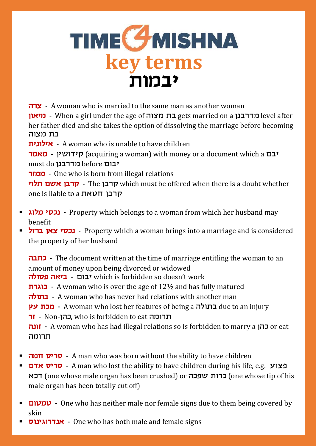### **TIME GMISHNA key terms יבמות**

**צרה -** A woman who is married to the same man as another woman **מיאון -** When a girl under the age of מצוה בת gets married on a מדרבנן level after her father died and she takes the option of dissolving the marriage before becoming בת מצוה

**אילונית -** A woman who is unable to have children

**יבם** acquiring a woman) with money or a document which a **יבם** must do מדרבנן before יבום

**ממזר -** One who is born from illegal relations

**תלוי אשם קרבן -** The קרבן which must be offered when there is a doubt whether one is liable to a חטאת קרבן

- **מלוג נכסי -** Property which belongs to a woman from which her husband may benefit
- **ברזל צאן נכסי -** Property which a woman brings into a marriage and is considered the property of her husband

**כתבה -** The document written at the time of marriage entitling the woman to an amount of money upon being divorced or widowed **פסולה ביאה -** יבום which is forbidden so doesn't work **בוגרת -** A woman who is over the age of 12½ and has fully matured **בתולה -** A woman who has never had relations with another man **עץ מכת -** A woman who lost her features of being a בתולה due to an injury **זר -** Non-כהן, who is forbidden to eat תרומה **זונה -** A woman who has had illegal relations so is forbidden to marry a כהן or eat תרומה

- **חמה סריס -** A man who was born without the ability to have children
- **אדם סריס -** A man who lost the ability to have children during his life, e.g. פצוע דכא) one whose male organ has been crushed) or שפכה כרות) one whose tip of his male organ has been totally cut off)
- **טמטום -** One who has neither male nor female signs due to them being covered by skin
- **אנדרוגינוס -** One who has both male and female signs